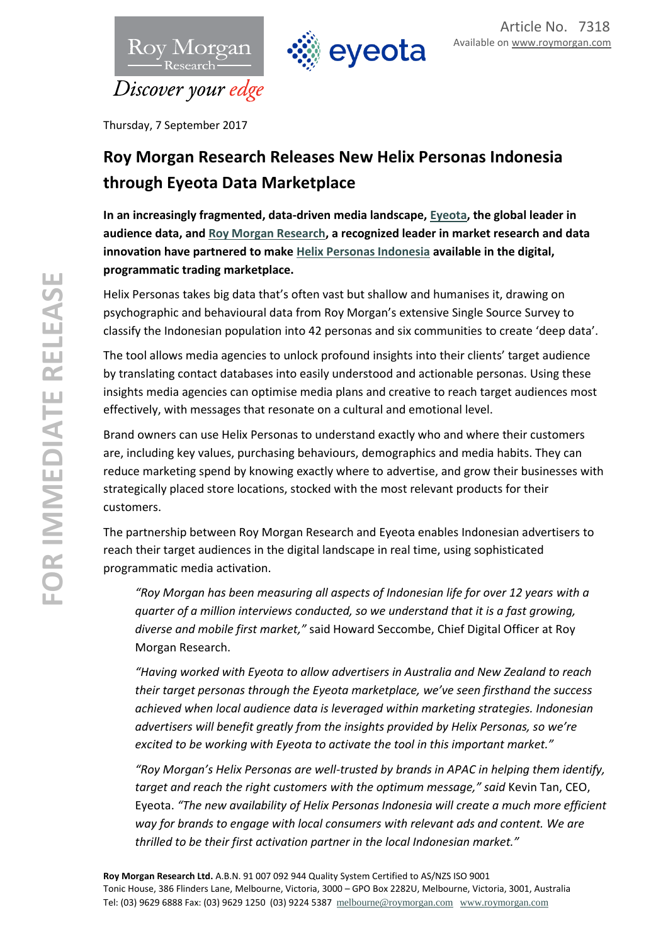



Thursday, 7 September 2017

## **Roy Morgan Research Releases New Helix Personas Indonesia through Eyeota Data Marketplace**

**In an increasingly fragmented, data-driven media landscape, [Eyeota,](http://www.eyeota.com/) the global leader in audience data, and [Roy Morgan Research,](https://www.roymorgan.com/) a recognized leader in market research and data innovation have partnered to make [Helix Personas Indonesia](http://helixpersonas.co.id/) available in the digital, programmatic trading marketplace.**

Helix Personas takes big data that's often vast but shallow and humanises it, drawing on psychographic and behavioural data from Roy Morgan's extensive Single Source Survey to classify the Indonesian population into 42 personas and six communities to create 'deep data'.

The tool allows media agencies to unlock profound insights into their clients' target audience by translating contact databases into easily understood and actionable personas. Using these insights media agencies can optimise media plans and creative to reach target audiences most effectively, with messages that resonate on a cultural and emotional level.

Brand owners can use Helix Personas to understand exactly who and where their customers are, including key values, purchasing behaviours, demographics and media habits. They can reduce marketing spend by knowing exactly where to advertise, and grow their businesses with strategically placed store locations, stocked with the most relevant products for their customers.

The partnership between Roy Morgan Research and Eyeota enables Indonesian advertisers to reach their target audiences in the digital landscape in real time, using sophisticated programmatic media activation.

*"Roy Morgan has been measuring all aspects of Indonesian life for over 12 years with a quarter of a million interviews conducted, so we understand that it is a fast growing, diverse and mobile first market,"* said Howard Seccombe, Chief Digital Officer at Roy Morgan Research.

*"Having worked with Eyeota to allow advertisers in Australia and New Zealand to reach their target personas through the Eyeota marketplace, we've seen firsthand the success achieved when local audience data is leveraged within marketing strategies. Indonesian advertisers will benefit greatly from the insights provided by Helix Personas, so we're excited to be working with Eyeota to activate the tool in this important market."*

*"Roy Morgan's Helix Personas are well-trusted by brands in APAC in helping them identify, target and reach the right customers with the optimum message," said* Kevin Tan, CEO, Eyeota. *"The new availability of Helix Personas Indonesia will create a much more efficient way for brands to engage with local consumers with relevant ads and content. We are thrilled to be their first activation partner in the local Indonesian market."*